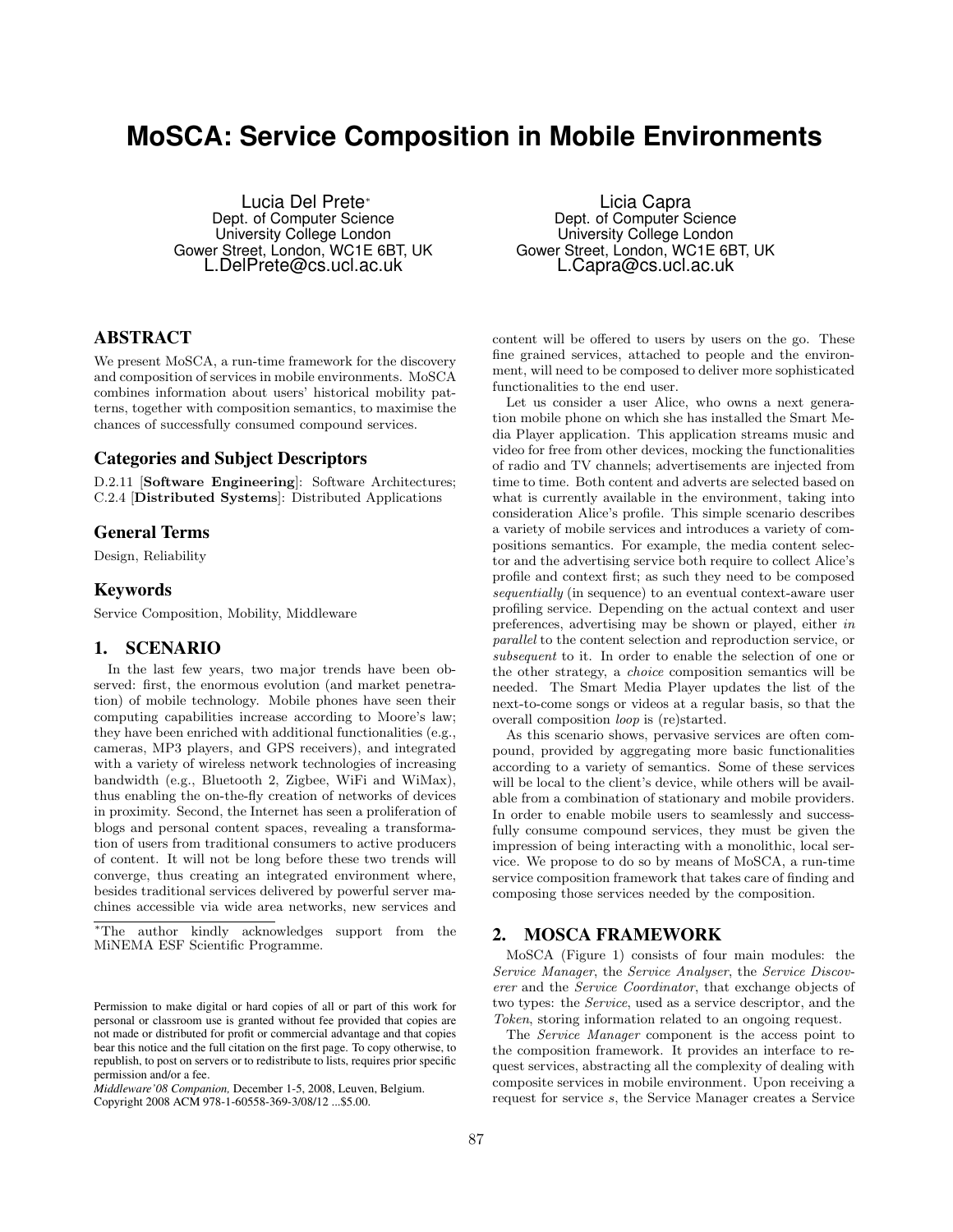# **MoSCA: Service Composition in Mobile Environments**

Lucia Del Prete\* Dept. of Computer Science University College London Gower Street, London, WC1E 6BT, UK L.DelPrete@cs.ucl.ac.uk

# **ABSTRACT**

We present MoSCA, a run-time framework for the discovery and composition of services in mobile environments. MoSCA combines information about users' historical mobility patterns, together with composition semantics, to maximise the chances of successfully consumed compound services.

# **Categories and Subject Descriptors**

D.2.11 [Software Engineering]: Software Architectures; C.2.4 [Distributed Systems]: Distributed Applications

# **General Terms**

Design, Reliability

### **Keywords**

Service Composition, Mobility, Middleware

### 1. SCENARIO

In the last few years, two major trends have been observed: first, the enormous evolution (and market penetration) of mobile technology. Mobile phones have seen their computing capabilities increase according to Moore's law; they have been enriched with additional functionalities (e.g., cameras, MP3 players, and GPS receivers), and integrated with a variety of wireless network technologies of increasing bandwidth (e.g., Bluetooth 2, Zigbee, WiFi and WiMax), thus enabling the on-the-fly creation of networks of devices in proximity. Second, the Internet has seen a proliferation of blogs and personal content spaces, revealing a transformation of users from traditional consumers to active producers of content. It will not be long before these two trends will converge, thus creating an integrated environment where, besides traditional services delivered by powerful server machines accessible via wide area networks, new services and

Middleware'08 Companion, December 1-5, 2008, Leuven, Belgium. Copyright 2008 ACM 978-1-60558-369-3/08/12 ...\$5.00.

Licia Capra Dept. of Computer Science University College London Gower Street, London, WC1E 6BT, UK  $L.Capra@cs.ucl.ac.uk$ 

content will be offered to users by users on the go. These fine grained services, attached to people and the environment, will need to be composed to deliver more sophisticated functionalities to the end user.

Let us consider a user Alice, who owns a next generation mobile phone on which she has installed the Smart Media Player application. This application streams music and video for free from other devices, mocking the functionalities of radio and TV channels; advertisements are injected from time to time. Both content and adverts are selected based on what is currently available in the environment, taking into consideration Alice's profile. This simple scenario describes a variety of mobile services and introduces a variety of compositions semantics. For example, the media content selector and the advertising service both require to collect Alice's profile and context first; as such they need to be composed *sequentially* (in sequence) to an eventual context-aware user profiling service. Depending on the actual context and user preferences, advertising may be shown or played, either in parallel to the content selection and reproduction service, or subsequent to it. In order to enable the selection of one or the other strategy, a *choice* composition semantics will be needed. The Smart Media Player updates the list of the next-to-come songs or videos at a regular basis, so that the overall composition *loop* is (re)started.

As this scenario shows, pervasive services are often compound, provided by aggregating more basic functionalities according to a variety of semantics. Some of these services will be local to the client's device, while others will be available from a combination of stationary and mobile providers. In order to enable mobile users to seamlessly and successfully consume compound services, they must be given the impression of being interacting with a monolithic, local service. We propose to do so by means of MoSCA, a run-time service composition framework that takes care of finding and composing those services needed by the composition.

#### **MOSCA FRAMEWORK**  $2.$

MoSCA (Figure 1) consists of four main modules: the Service Manager, the Service Analyser, the Service Discoverer and the Service Coordinator, that exchange objects of two types: the *Service*, used as a service descriptor, and the Token, storing information related to an ongoing request.

The Service Manager component is the access point to the composition framework. It provides an interface to request services, abstracting all the complexity of dealing with composite services in mobile environment. Upon receiving a request for service s, the Service Manager creates a Service

The author kindly acknowledges support from the MiNEMA ESF Scientific Programme.

Permission to make digital or hard copies of all or part of this work for personal or classroom use is granted without fee provided that copies are not made or distributed for profit or commercial advantage and that copies bear this notice and the full citation on the first page. To copy otherwise, to republish, to post on servers or to redistribute to lists, requires prior specific permission and/or a fee.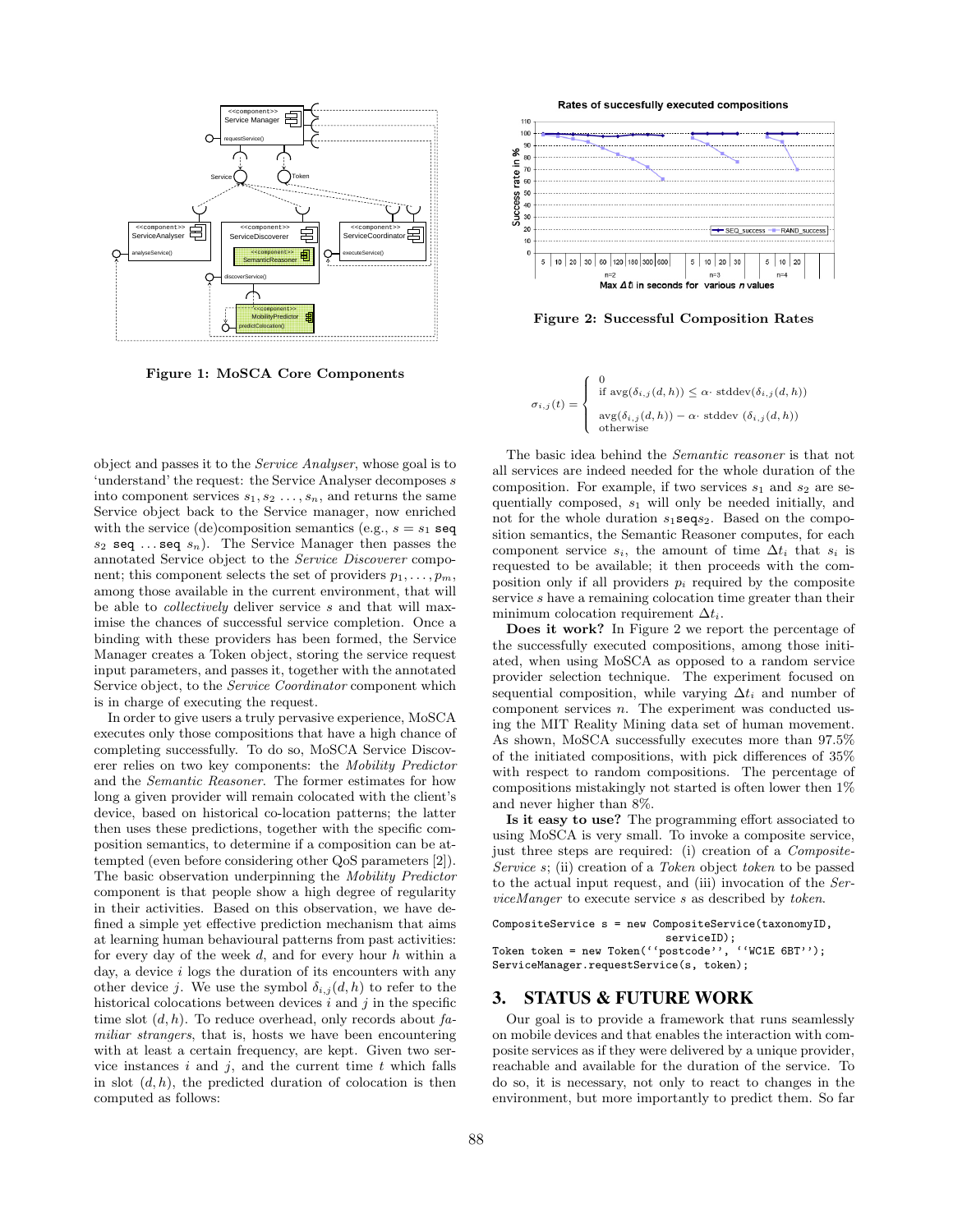

Figure 1: MoSCA Core Components

object and passes it to the *Service Analyser*, whose goal is to 'understand' the request: the Service Analyser decomposes  $s$ into component services  $s_1, s_2, \ldots, s_n$ , and returns the same Service object back to the Service manager, now enriched with the service (de)composition semantics (e.g.,  $s = s_1$  seq  $s_2$  seq ... seq  $s_n$ ). The Service Manager then passes the annotated Service object to the Service Discoverer component; this component selects the set of providers  $p_1, \ldots, p_m$ , among those available in the current environment, that will be able to *collectively* deliver service  $s$  and that will maximise the chances of successful service completion. Once a binding with these providers has been formed, the Service Manager creates a Token object, storing the service request input parameters, and passes it, together with the annotated Service object, to the Service Coordinator component which is in charge of executing the request.

In order to give users a truly pervasive experience, MoSCA executes only those compositions that have a high chance of completing successfully. To do so, MoSCA Service Discoverer relies on two key components: the Mobility Predictor and the *Semantic Reasoner*. The former estimates for how long a given provider will remain colocated with the client's device, based on historical co-location patterns; the latter then uses these predictions, together with the specific composition semantics, to determine if a composition can be attempted (even before considering other QoS parameters [2]). The basic observation underpinning the Mobility Predictor component is that people show a high degree of regularity in their activities. Based on this observation, we have defined a simple yet effective prediction mechanism that aims at learning human behavioural patterns from past activities: for every day of the week  $d$ , and for every hour  $h$  within a day, a device  $i$  logs the duration of its encounters with any other device j. We use the symbol  $\delta_{i,j}(d,h)$  to refer to the historical colocations between devices  $i$  and  $j$  in the specific time slot  $(d, h)$ . To reduce overhead, only records about fa*miliar strangers*, that is, hosts we have been encountering with at least a certain frequency, are kept. Given two service instances  $i$  and  $j$ , and the current time  $t$  which falls in slot  $(d, h)$ , the predicted duration of colocation is then computed as follows:



110



**Figure 2: Successful Composition Rates** 

$$
\sigma_{i,j}(t) = \begin{cases}\n0 & \text{if } \arg(\delta_{i,j}(d,h)) \leq \alpha \cdot \text{stddev}(\delta_{i,j}(d,h)) \\
\arg(\delta_{i,j}(d,h)) - \alpha \cdot \text{stddev}(\delta_{i,j}(d,h)) \\
\text{otherwise}\n\end{cases}
$$

The basic idea behind the Semantic reasoner is that not all services are indeed needed for the whole duration of the composition. For example, if two services  $s_1$  and  $s_2$  are sequentially composed,  $s_1$  will only be needed initially, and not for the whole duration  $s_1$ seq $s_2$ . Based on the composition semantics, the Semantic Reasoner computes, for each component service  $s_i$ , the amount of time  $\Delta t_i$  that  $s_i$  is requested to be available; it then proceeds with the composition only if all providers  $p_i$  required by the composite service  $s$  have a remaining colocation time greater than their minimum colocation requirement  $\Delta t_i$ .

Does it work? In Figure 2 we report the percentage of the successfully executed compositions, among those initiated, when using MoSCA as opposed to a random service provider selection technique. The experiment focused on sequential composition, while varying  $\Delta t_i$  and number of component services  $n$ . The experiment was conducted using the MIT Reality Mining data set of human movement. As shown, MoSCA successfully executes more than 97.5% of the initiated compositions, with pick differences of 35% with respect to random compositions. The percentage of compositions mistakingly not started is often lower then 1% and never higher than 8%.

Is it easy to use? The programming effort associated to using MoSCA is very small. To invoke a composite service, just three steps are required: (i) creation of a *Composite*-Service s; (ii) creation of a Token object token to be passed to the actual input request, and (iii) invocation of the Ser $viceManager$  to execute service  $s$  as described by token.

CompositeService s = new CompositeService(taxonomyID,

ServiceManager.requestService(s, token);

#### **STATUS & FUTURE WORK** 3.

Our goal is to provide a framework that runs seamlessly on mobile devices and that enables the interaction with composite services as if they were delivered by a unique provider, reachable and available for the duration of the service. To do so, it is necessary, not only to react to changes in the environment, but more importantly to predict them. So far